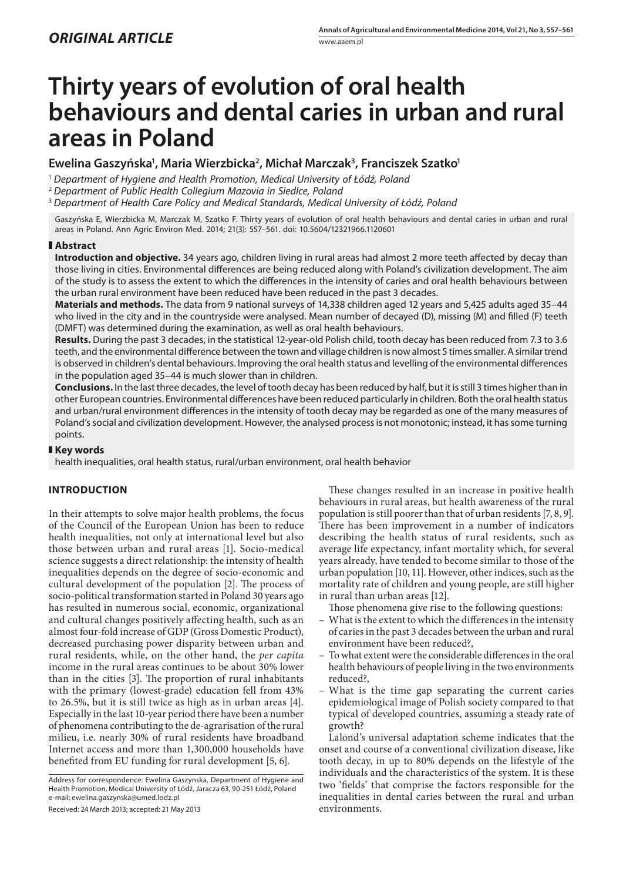# **Thirty years of evolution of oral health behaviours and dental caries in urban and rural areas in Poland**

**Ewelina Gaszyńska1 , Maria Wierzbicka2 , Michał Marczak3 , Franciszek Szatko1**

<sup>1</sup> *Department of Hygiene and Health Promotion, Medical University of Łódź, Poland*

<sup>2</sup> *Department of Public Health Collegium Mazovia in Siedlce, Poland*

<sup>3</sup> *Department of Health Care Policy and Medical Standards, Medical University of Łódź, Poland*

Gaszyńska E, Wierzbicka M, Marczak M, Szatko F. Thirty years of evolution of oral health behaviours and dental caries in urban and rural areas in Poland. Ann Agric Environ Med. 2014; 21(3): 557–561. doi: 10.5604/12321966.1120601

## **Abstract**

**Introduction and objective.** 34 years ago, children living in rural areas had almost 2 more teeth affected by decay than those living in cities. Environmental differences are being reduced along with Poland's civilization development. The aim of the study is to assess the extent to which the differences in the intensity of caries and oral health behaviours between the urban rural environment have been reduced have been reduced in the past 3 decades.

**Materials and methods.** The data from 9 national surveys of 14,338 children aged 12 years and 5,425 adults aged 35–44 who lived in the city and in the countryside were analysed. Mean number of decayed (D), missing (M) and filled (F) teeth (DMFT) was determined during the examination, as well as oral health behaviours.

**Results.** During the past 3 decades, in the statistical 12-year-old Polish child, tooth decay has been reduced from 7.3 to 3.6 teeth, and the environmental difference between the town and village children is now almost 5 times smaller. A similar trend is observed in children's dental behaviours. Improving the oral health status and levelling of the environmental differences in the population aged 35–44 is much slower than in children.

**Conclusions.** In the last three decades, the level of tooth decay has been reduced by half, but it is still 3 times higher than in other European countries. Environmental differences have been reduced particularly in children. Both the oral health status and urban/rural environment differences in the intensity of tooth decay may be regarded as one of the many measures of Poland's social and civilization development. However, the analysed process is not monotonic; instead, it has some turning points.

## **Key words**

health inequalities, oral health status, rural/urban environment, oral health behavior

# **INTRODUCTION**

In their attempts to solve major health problems, the focus of the Council of the European Union has been to reduce health inequalities, not only at international level but also those between urban and rural areas [1]. Socio-medical science suggests a direct relationship: the intensity of health inequalities depends on the degree of socio-economic and cultural development of the population [2]. The process of socio-political transformation started in Poland 30 years ago has resulted in numerous social, economic, organizational and cultural changes positively affecting health, such as an almost four-fold increase of GDP (Gross Domestic Product), decreased purchasing power disparity between urban and rural residents, while, on the other hand, the *per capita* income in the rural areas continues to be about 30% lower than in the cities [3]. The proportion of rural inhabitants with the primary (lowest-grade) education fell from 43% to 26.5%, but it is still twice as high as in urban areas [4]. Especially in the last 10-year period there have been a number of phenomena contributing to the de-agrarisation of the rural milieu, i.e. nearly 30% of rural residents have broadband Internet access and more than 1,300,000 households have benefited from EU funding for rural development [5, 6].

Received: 24 March 2013; accepted: 21 May 2013

These changes resulted in an increase in positive health behaviours in rural areas, but health awareness of the rural population is still poorer than that of urban residents [7, 8, 9]. There has been improvement in a number of indicators describing the health status of rural residents, such as average life expectancy, infant mortality which, for several years already, have tended to become similar to those of the urban population [10, 11]. However, other indices, such as the mortality rate of children and young people, are still higher in rural than urban areas [12].

Those phenomena give rise to the following questions:

- What is the extent to which the differences in the intensity of caries in the past 3 decades between the urban and rural environment have been reduced?,
- To what extent were the considerable differences in the oral health behaviours of people living in the two environments reduced?,
- What is the time gap separating the current caries epidemiological image of Polish society compared to that typical of developed countries, assuming a steady rate of growth?

Lalond's universal adaptation scheme indicates that the onset and course of a conventional civilization disease, like tooth decay, in up to 80% depends on the lifestyle of the individuals and the characteristics of the system. It is these two 'fields' that comprise the factors responsible for the inequalities in dental caries between the rural and urban environments.

Address for correspondence: Ewelina Gaszynska, Department of Hygiene and Health Promotion, Medical University of Łódź, Jaracza 63, 90-251 Łódź, Poland e-mail: ewelina.gaszynska@umed.lodz.pl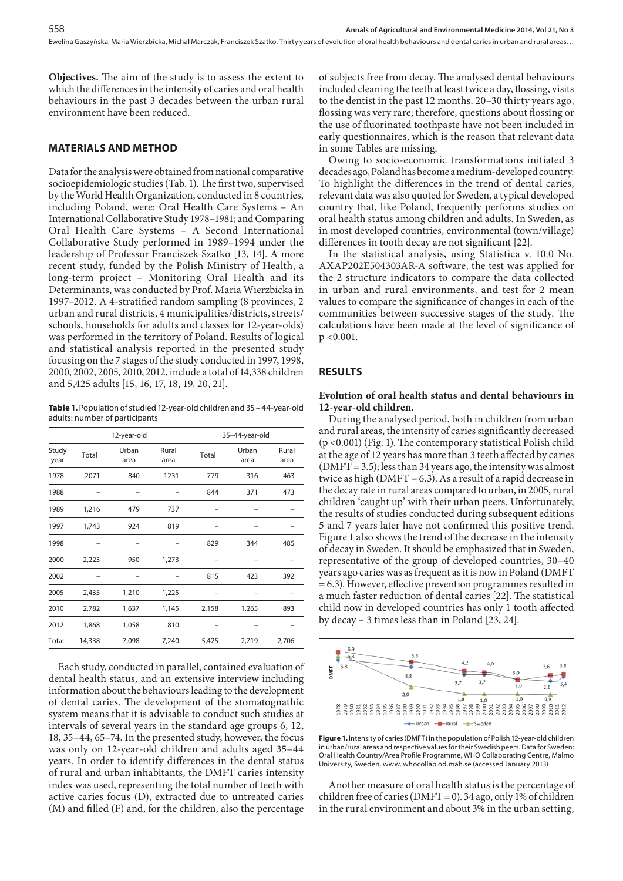**Objectives.** The aim of the study is to assess the extent to which the differences in the intensity of caries and oral health behaviours in the past 3 decades between the urban rural environment have been reduced.

#### **MATERIALS AND METHOD**

Data for the analysis were obtained from national comparative socioepidemiologic studies (Tab. 1). The first two, supervised by the World Health Organization, conducted in 8 countries, including Poland, were: Oral Health Care Systems – An International Collaborative Study 1978–1981; and Comparing Oral Health Care Systems – A Second International Collaborative Study performed in 1989–1994 under the leadership of Professor Franciszek Szatko [13, 14]. A more recent study, funded by the Polish Ministry of Health, a long-term project – Monitoring Oral Health and its Determinants, was conducted by Prof. Maria Wierzbicka in 1997–2012. A 4-stratified random sampling (8 provinces, 2 urban and rural districts, 4 municipalities/districts, streets/ schools, households for adults and classes for 12-year-olds) was performed in the territory of Poland. Results of logical and statistical analysis reported in the presented study focusing on the 7 stages of the study conducted in 1997, 1998, 2000, 2002, 2005, 2010, 2012, include a total of 14,338 children and 5,425 adults [15, 16, 17, 18, 19, 20, 21].

**Table 1.** Population of studied 12-year-old children and 35 – 44-year-old adults: number of participants

|               | 12-year-old |               |               | 35-44-year-old |               |               |
|---------------|-------------|---------------|---------------|----------------|---------------|---------------|
| Study<br>year | Total       | Urban<br>area | Rural<br>area | Total          | Urban<br>area | Rural<br>area |
| 1978          | 2071        | 840           | 1231          | 779            | 316           | 463           |
| 1988          |             |               |               | 844            | 371           | 473           |
| 1989          | 1,216       | 479           | 737           |                |               |               |
| 1997          | 1,743       | 924           | 819           |                |               |               |
| 1998          |             |               |               | 829            | 344           | 485           |
| 2000          | 2,223       | 950           | 1,273         |                |               |               |
| 2002          |             |               |               | 815            | 423           | 392           |
| 2005          | 2,435       | 1,210         | 1,225         |                |               |               |
| 2010          | 2,782       | 1,637         | 1,145         | 2,158          | 1,265         | 893           |
| 2012          | 1,868       | 1,058         | 810           |                |               |               |
| Total         | 14,338      | 7,098         | 7,240         | 5,425          | 2,719         | 2,706         |

Each study, conducted in parallel, contained evaluation of dental health status, and an extensive interview including information about the behaviours leading to the development of dental caries. The development of the stomatognathic system means that it is advisable to conduct such studies at intervals of several years in the standard age groups 6, 12, 18, 35–44, 65–74. In the presented study, however, the focus was only on 12-year-old children and adults aged 35–44 years. In order to identify differences in the dental status of rural and urban inhabitants, the DMFT caries intensity index was used, representing the total number of teeth with active caries focus (D), extracted due to untreated caries (M) and filled (F) and, for the children, also the percentage

of subjects free from decay. The analysed dental behaviours included cleaning the teeth at least twice a day, flossing, visits to the dentist in the past 12 months. 20–30 thirty years ago, flossing was very rare; therefore, questions about flossing or the use of fluorinated toothpaste have not been included in early questionnaires, which is the reason that relevant data in some Tables are missing.

Owing to socio-economic transformations initiated 3 decades ago, Poland has become a medium-developed country. To highlight the differences in the trend of dental caries, relevant data was also quoted for Sweden, a typical developed country that, like Poland, frequently performs studies on oral health status among children and adults. In Sweden, as in most developed countries, environmental (town/village) differences in tooth decay are not significant [22].

In the statistical analysis, using Statistica v. 10.0 No. AXAP202E504303AR-A software, the test was applied for the 2 structure indicators to compare the data collected in urban and rural environments, and test for 2 mean values to compare the significance of changes in each of the communities between successive stages of the study. The calculations have been made at the level of significance of p <0.001.

#### **RESULTS**

#### **Evolution of oral health status and dental behaviours in 12-year-old children.**

During the analysed period, both in children from urban and rural areas, the intensity of caries significantly decreased (p <0.001) (Fig. 1). The contemporary statistical Polish child at the age of 12 years has more than 3 teeth affected by caries (DMFT = 3.5); less than 34 years ago, the intensity was almost twice as high (DMFT = 6.3). As a result of a rapid decrease in the decay rate in rural areas compared to urban, in 2005, rural children 'caught up' with their urban peers. Unfortunately, the results of studies conducted during subsequent editions 5 and 7 years later have not confirmed this positive trend. Figure 1 also shows the trend of the decrease in the intensity of decay in Sweden. It should be emphasized that in Sweden, representative of the group of developed countries, 30–40 years ago caries was as frequent as it is now in Poland (DMFT = 6.3). However, effective prevention programmes resulted in a much faster reduction of dental caries [22]. The statistical child now in developed countries has only 1 tooth affected by decay – 3 times less than in Poland [23, 24].



**Figure 1.** Intensity of caries (DMFT) in the population of Polish 12-year-old children in urban/rural areas and respective values for their Swedish peers. Data for Sweden: Oral Health Country/Area Profile Programme, WHO Collaborating Centre, Malmo University, Sweden, www. whocollab.od.mah.se (accessed January 2013)

Another measure of oral health status is the percentage of children free of caries (DMFT = 0). 34 ago, only 1% of children in the rural environment and about 3% in the urban setting,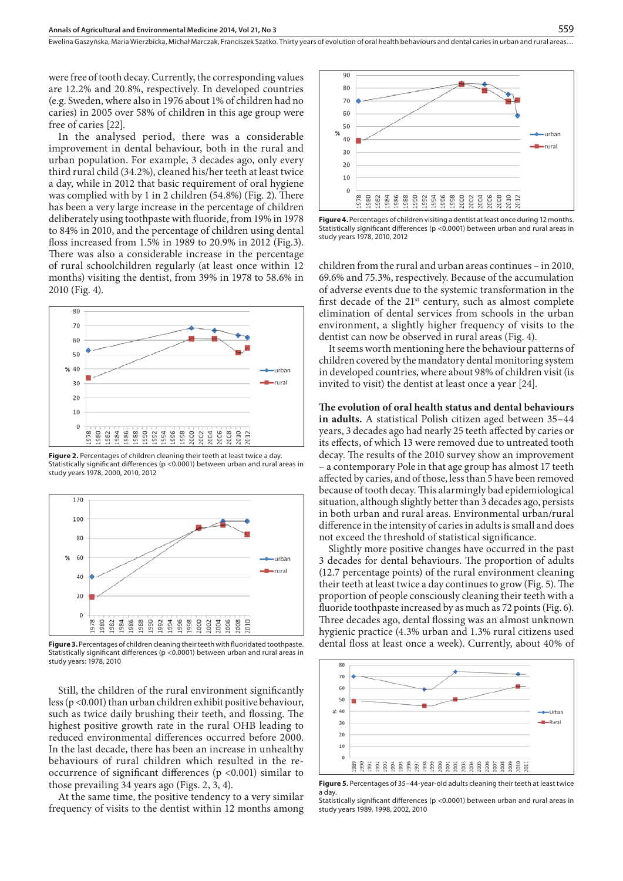were free of tooth decay. Currently, the corresponding values are 12.2% and 20.8%, respectively. In developed countries (e.g. Sweden, where also in 1976 about 1% of children had no caries) in 2005 over 58% of children in this age group were free of caries [22].

In the analysed period, there was a considerable improvement in dental behaviour, both in the rural and urban population. For example, 3 decades ago, only every third rural child (34.2%), cleaned his/her teeth at least twice a day, while in 2012 that basic requirement of oral hygiene was complied with by 1 in 2 children (54.8%) (Fig. 2). There has been a very large increase in the percentage of children deliberately using toothpaste with fluoride, from 19% in 1978 to 84% in 2010, and the percentage of children using dental floss increased from 1.5% in 1989 to 20.9% in 2012 (Fig.3). There was also a considerable increase in the percentage of rural schoolchildren regularly (at least once within 12 months) visiting the dentist, from 39% in 1978 to 58.6% in 2010 (Fig. 4).



Figure 2. Percentages of children cleaning their teeth at least twice a day. Statistically significant differences (p <0.0001) between urban and rural areas in study years 1978, 2000, 2010, 2012



**Figure 3.** Percentages of children cleaning their teeth with fluoridated toothpaste. Statistically significant differences (p <0.0001) between urban and rural areas in study years: 1978, 2010

Still, the children of the rural environment significantly less (p <0.001) than urban children exhibit positive behaviour, such as twice daily brushing their teeth, and flossing. The highest positive growth rate in the rural OHB leading to reduced environmental differences occurred before 2000. In the last decade, there has been an increase in unhealthy behaviours of rural children which resulted in the reoccurrence of significant differences (p <0.001) similar to those prevailing 34 years ago (Figs. 2, 3, 4).

At the same time, the positive tendency to a very similar frequency of visits to the dentist within 12 months among



**Figure 4.** Percentages of children visiting a dentist at least once during 12 months. Statistically significant differences (p <0.0001) between urban and rural areas in study years 1978, 2010, 2012

children from the rural and urban areas continues – in 2010, 69.6% and 75.3%, respectively. Because of the accumulation of adverse events due to the systemic transformation in the first decade of the  $21^{st}$  century, such as almost complete elimination of dental services from schools in the urban environment, a slightly higher frequency of visits to the dentist can now be observed in rural areas (Fig. 4).

It seems worth mentioning here the behaviour patterns of children covered by the mandatory dental monitoring system in developed countries, where about 98% of children visit (is invited to visit) the dentist at least once a year [24].

**The evolution of oral health status and dental behaviours in adults.** A statistical Polish citizen aged between 35–44 years, 3 decades ago had nearly 25 teeth affected by caries or its effects, of which 13 were removed due to untreated tooth decay. The results of the 2010 survey show an improvement – a contemporary Pole in that age group has almost 17 teeth affected by caries, and of those, less than 5 have been removed because of tooth decay. This alarmingly bad epidemiological situation, although slightly better than 3 decades ago, persists in both urban and rural areas. Environmental urban/rural difference in the intensity of caries in adults is small and does not exceed the threshold of statistical significance.

Slightly more positive changes have occurred in the past 3 decades for dental behaviours. The proportion of adults (12.7 percentage points) of the rural environment cleaning their teeth at least twice a day continues to grow (Fig. 5). The proportion of people consciously cleaning their teeth with a fluoride toothpaste increased by as much as 72 points (Fig. 6). Three decades ago, dental flossing was an almost unknown hygienic practice (4.3% urban and 1.3% rural citizens used dental floss at least once a week). Currently, about 40% of



**Figure 5.** Percentages of 35–44-year-old adults cleaning their teeth at least twice a day.

Statistically significant differences (p <0.0001) between urban and rural areas in study years 1989, 1998, 2002, 2010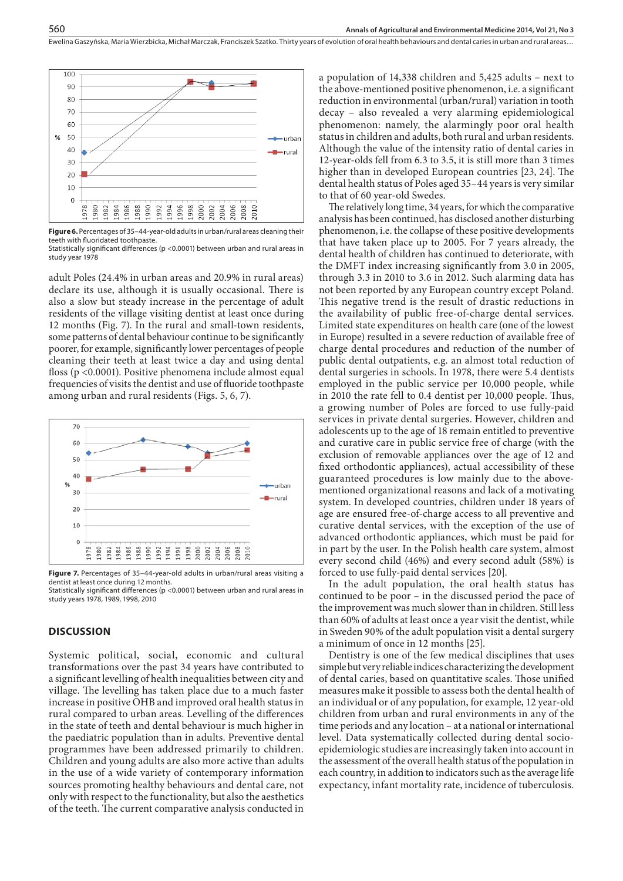

**Figure 6.** Percentages of 35–44-year-old adults in urban/rural areas cleaning their teeth with fluoridated toothpaste.

Statistically significant differences (p <0.0001) between urban and rural areas in study year 1978

adult Poles (24.4% in urban areas and 20.9% in rural areas) declare its use, although it is usually occasional. There is also a slow but steady increase in the percentage of adult residents of the village visiting dentist at least once during 12 months (Fig. 7). In the rural and small-town residents, some patterns of dental behaviour continue to be significantly poorer, for example, significantly lower percentages of people cleaning their teeth at least twice a day and using dental floss (p <0.0001). Positive phenomena include almost equal frequencies of visits the dentist and use of fluoride toothpaste among urban and rural residents (Figs. 5, 6, 7).



**Figure 7.** Percentages of 35–44-year-old adults in urban/rural areas visiting a dentist at least once during 12 months.

Statistically significant differences (p <0.0001) between urban and rural areas in study years 1978, 1989, 1998, 2010

#### **DISCUSSION**

Systemic political, social, economic and cultural transformations over the past 34 years have contributed to a significant levelling of health inequalities between city and village. The levelling has taken place due to a much faster increase in positive OHB and improved oral health status in rural compared to urban areas. Levelling of the differences in the state of teeth and dental behaviour is much higher in the paediatric population than in adults. Preventive dental programmes have been addressed primarily to children. Children and young adults are also more active than adults in the use of a wide variety of contemporary information sources promoting healthy behaviours and dental care, not only with respect to the functionality, but also the aesthetics of the teeth. The current comparative analysis conducted in

a population of 14,338 children and 5,425 adults – next to the above-mentioned positive phenomenon, i.e. a significant reduction in environmental (urban/rural) variation in tooth decay – also revealed a very alarming epidemiological phenomenon: namely, the alarmingly poor oral health status in children and adults, both rural and urban residents. Although the value of the intensity ratio of dental caries in 12-year-olds fell from 6.3 to 3.5, it is still more than 3 times higher than in developed European countries [23, 24]. The dental health status of Poles aged 35–44 years is very similar to that of 60 year-old Swedes.

The relatively long time, 34 years, for which the comparative analysis has been continued, has disclosed another disturbing phenomenon, i.e. the collapse of these positive developments that have taken place up to 2005. For 7 years already, the dental health of children has continued to deteriorate, with the DMFT index increasing significantly from 3.0 in 2005, through 3.3 in 2010 to 3.6 in 2012. Such alarming data has not been reported by any European country except Poland. This negative trend is the result of drastic reductions in the availability of public free-of-charge dental services. Limited state expenditures on health care (one of the lowest in Europe) resulted in a severe reduction of available free of charge dental procedures and reduction of the number of public dental outpatients, e.g. an almost total reduction of dental surgeries in schools. In 1978, there were 5.4 dentists employed in the public service per 10,000 people, while in 2010 the rate fell to 0.4 dentist per 10,000 people. Thus, a growing number of Poles are forced to use fully-paid services in private dental surgeries. However, children and adolescents up to the age of 18 remain entitled to preventive and curative care in public service free of charge (with the exclusion of removable appliances over the age of 12 and fixed orthodontic appliances), actual accessibility of these guaranteed procedures is low mainly due to the abovementioned organizational reasons and lack of a motivating system. In developed countries, children under 18 years of age are ensured free-of-charge access to all preventive and curative dental services, with the exception of the use of advanced orthodontic appliances, which must be paid for in part by the user. In the Polish health care system, almost every second child (46%) and every second adult (58%) is forced to use fully-paid dental services [20].

In the adult population, the oral health status has continued to be poor – in the discussed period the pace of the improvement was much slower than in children. Still less than 60% of adults at least once a year visit the dentist, while in Sweden 90% of the adult population visit a dental surgery a minimum of once in 12 months [25].

Dentistry is one of the few medical disciplines that uses simple but very reliable indices characterizing the development of dental caries, based on quantitative scales. Those unified measures make it possible to assess both the dental health of an individual or of any population, for example, 12 year-old children from urban and rural environments in any of the time periods and any location – at a national or international level. Data systematically collected during dental socioepidemiologic studies are increasingly taken into account in the assessment of the overall health status of the population in each country, in addition to indicators such as the average life expectancy, infant mortality rate, incidence of tuberculosis.